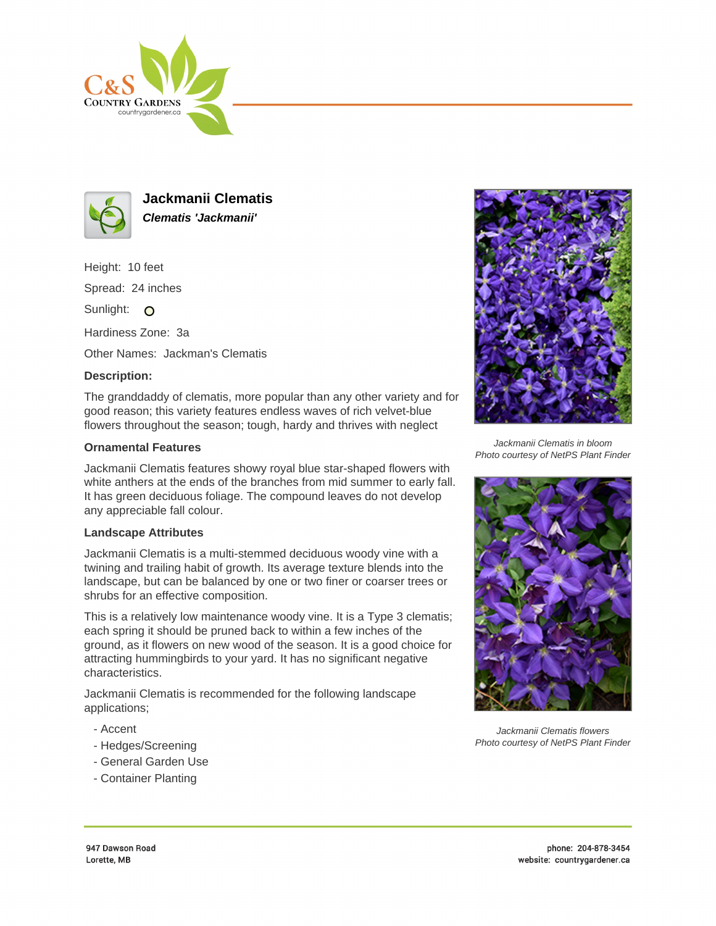



**Jackmanii Clematis Clematis 'Jackmanii'**

Height: 10 feet

Spread: 24 inches

Sunlight: O

Hardiness Zone: 3a

Other Names: Jackman's Clematis

## **Description:**

The granddaddy of clematis, more popular than any other variety and for good reason; this variety features endless waves of rich velvet-blue flowers throughout the season; tough, hardy and thrives with neglect

## **Ornamental Features**

Jackmanii Clematis features showy royal blue star-shaped flowers with white anthers at the ends of the branches from mid summer to early fall. It has green deciduous foliage. The compound leaves do not develop any appreciable fall colour.

## **Landscape Attributes**

Jackmanii Clematis is a multi-stemmed deciduous woody vine with a twining and trailing habit of growth. Its average texture blends into the landscape, but can be balanced by one or two finer or coarser trees or shrubs for an effective composition.

This is a relatively low maintenance woody vine. It is a Type 3 clematis; each spring it should be pruned back to within a few inches of the ground, as it flowers on new wood of the season. It is a good choice for attracting hummingbirds to your yard. It has no significant negative characteristics.

Jackmanii Clematis is recommended for the following landscape applications;

- Accent
- Hedges/Screening
- General Garden Use
- Container Planting



Jackmanii Clematis in bloom Photo courtesy of NetPS Plant Finder



Jackmanii Clematis flowers Photo courtesy of NetPS Plant Finder